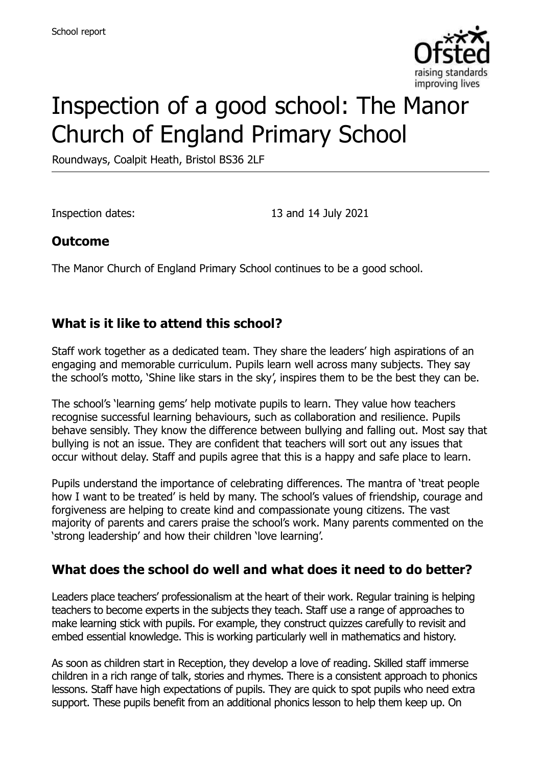

# Inspection of a good school: The Manor Church of England Primary School

Roundways, Coalpit Heath, Bristol BS36 2LF

Inspection dates: 13 and 14 July 2021

#### **Outcome**

The Manor Church of England Primary School continues to be a good school.

## **What is it like to attend this school?**

Staff work together as a dedicated team. They share the leaders' high aspirations of an engaging and memorable curriculum. Pupils learn well across many subjects. They say the school's motto, 'Shine like stars in the sky', inspires them to be the best they can be.

The school's 'learning gems' help motivate pupils to learn. They value how teachers recognise successful learning behaviours, such as collaboration and resilience. Pupils behave sensibly. They know the difference between bullying and falling out. Most say that bullying is not an issue. They are confident that teachers will sort out any issues that occur without delay. Staff and pupils agree that this is a happy and safe place to learn.

Pupils understand the importance of celebrating differences. The mantra of 'treat people how I want to be treated' is held by many. The school's values of friendship, courage and forgiveness are helping to create kind and compassionate young citizens. The vast majority of parents and carers praise the school's work. Many parents commented on the 'strong leadership' and how their children 'love learning'.

## **What does the school do well and what does it need to do better?**

Leaders place teachers' professionalism at the heart of their work. Regular training is helping teachers to become experts in the subjects they teach. Staff use a range of approaches to make learning stick with pupils. For example, they construct quizzes carefully to revisit and embed essential knowledge. This is working particularly well in mathematics and history.

As soon as children start in Reception, they develop a love of reading. Skilled staff immerse children in a rich range of talk, stories and rhymes. There is a consistent approach to phonics lessons. Staff have high expectations of pupils. They are quick to spot pupils who need extra support. These pupils benefit from an additional phonics lesson to help them keep up. On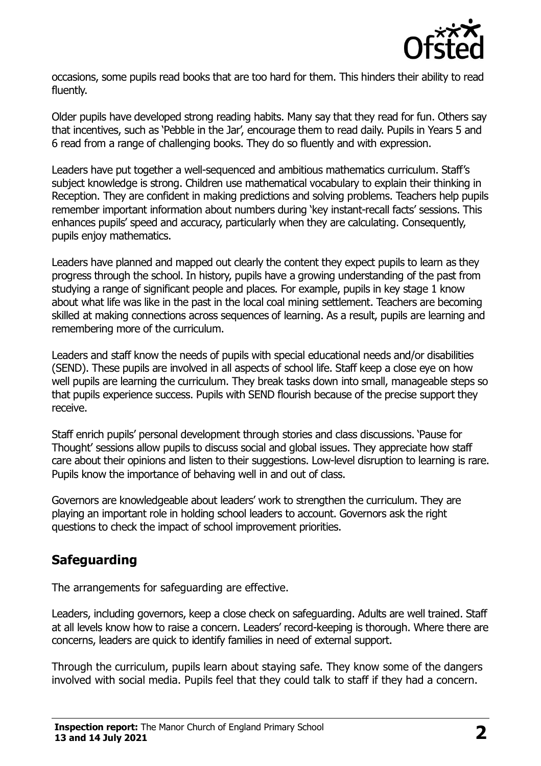

occasions, some pupils read books that are too hard for them. This hinders their ability to read fluently.

Older pupils have developed strong reading habits. Many say that they read for fun. Others say that incentives, such as 'Pebble in the Jar', encourage them to read daily. Pupils in Years 5 and 6 read from a range of challenging books. They do so fluently and with expression.

Leaders have put together a well-sequenced and ambitious mathematics curriculum. Staff's subject knowledge is strong. Children use mathematical vocabulary to explain their thinking in Reception. They are confident in making predictions and solving problems. Teachers help pupils remember important information about numbers during 'key instant-recall facts' sessions. This enhances pupils' speed and accuracy, particularly when they are calculating. Consequently, pupils enjoy mathematics.

Leaders have planned and mapped out clearly the content they expect pupils to learn as they progress through the school. In history, pupils have a growing understanding of the past from studying a range of significant people and places. For example, pupils in key stage 1 know about what life was like in the past in the local coal mining settlement. Teachers are becoming skilled at making connections across sequences of learning. As a result, pupils are learning and remembering more of the curriculum.

Leaders and staff know the needs of pupils with special educational needs and/or disabilities (SEND). These pupils are involved in all aspects of school life. Staff keep a close eye on how well pupils are learning the curriculum. They break tasks down into small, manageable steps so that pupils experience success. Pupils with SEND flourish because of the precise support they receive.

Staff enrich pupils' personal development through stories and class discussions. 'Pause for Thought' sessions allow pupils to discuss social and global issues. They appreciate how staff care about their opinions and listen to their suggestions. Low-level disruption to learning is rare. Pupils know the importance of behaving well in and out of class.

Governors are knowledgeable about leaders' work to strengthen the curriculum. They are playing an important role in holding school leaders to account. Governors ask the right questions to check the impact of school improvement priorities.

# **Safeguarding**

The arrangements for safeguarding are effective.

Leaders, including governors, keep a close check on safeguarding. Adults are well trained. Staff at all levels know how to raise a concern. Leaders' record-keeping is thorough. Where there are concerns, leaders are quick to identify families in need of external support.

Through the curriculum, pupils learn about staying safe. They know some of the dangers involved with social media. Pupils feel that they could talk to staff if they had a concern.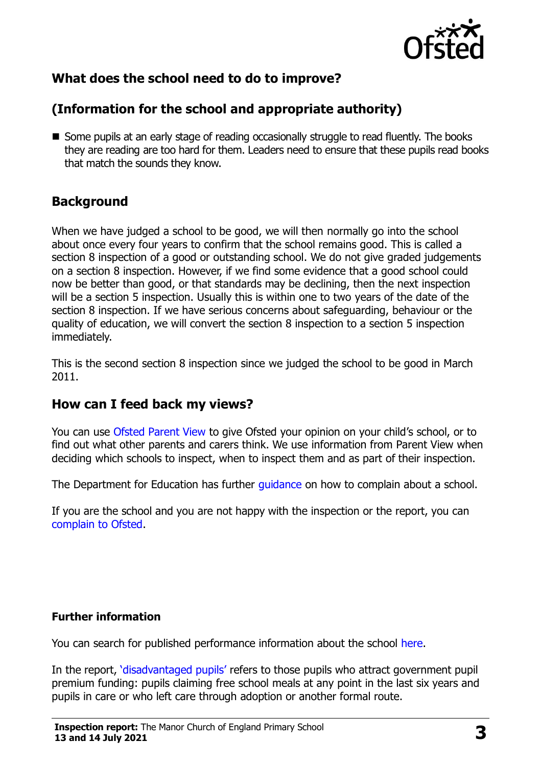

# **What does the school need to do to improve?**

# **(Information for the school and appropriate authority)**

■ Some pupils at an early stage of reading occasionally struggle to read fluently. The books they are reading are too hard for them. Leaders need to ensure that these pupils read books that match the sounds they know.

# **Background**

When we have judged a school to be good, we will then normally go into the school about once every four years to confirm that the school remains good. This is called a section 8 inspection of a good or outstanding school. We do not give graded judgements on a section 8 inspection. However, if we find some evidence that a good school could now be better than good, or that standards may be declining, then the next inspection will be a section 5 inspection. Usually this is within one to two years of the date of the section 8 inspection. If we have serious concerns about safeguarding, behaviour or the quality of education, we will convert the section 8 inspection to a section 5 inspection immediately.

This is the second section 8 inspection since we judged the school to be good in March 2011.

## **How can I feed back my views?**

You can use [Ofsted Parent View](https://parentview.ofsted.gov.uk/) to give Ofsted your opinion on your child's school, or to find out what other parents and carers think. We use information from Parent View when deciding which schools to inspect, when to inspect them and as part of their inspection.

The Department for Education has further *guidance* on how to complain about a school.

If you are the school and you are not happy with the inspection or the report, you can [complain to Ofsted.](https://www.gov.uk/complain-ofsted-report)

#### **Further information**

You can search for published performance information about the school [here.](http://www.compare-school-performance.service.gov.uk/)

In the report, '[disadvantaged pupils](http://www.gov.uk/guidance/pupil-premium-information-for-schools-and-alternative-provision-settings)' refers to those pupils who attract government pupil premium funding: pupils claiming free school meals at any point in the last six years and pupils in care or who left care through adoption or another formal route.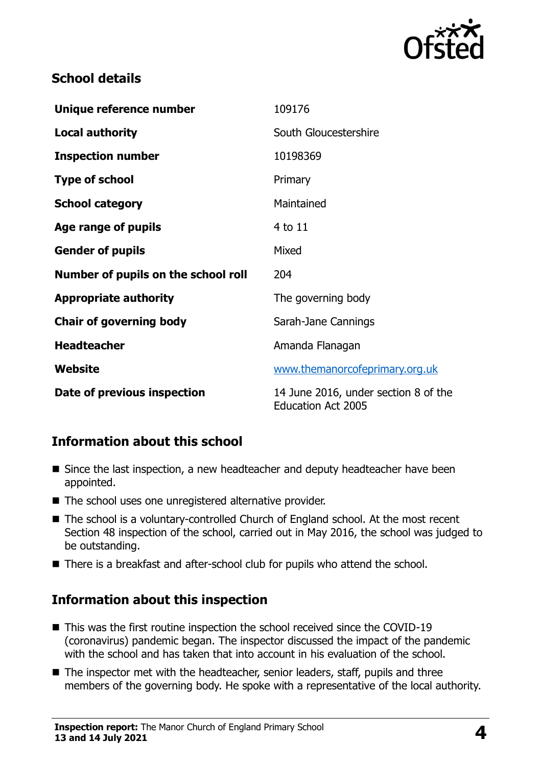

## **School details**

| Unique reference number             | 109176                                                            |
|-------------------------------------|-------------------------------------------------------------------|
| <b>Local authority</b>              | South Gloucestershire                                             |
| <b>Inspection number</b>            | 10198369                                                          |
| <b>Type of school</b>               | Primary                                                           |
| <b>School category</b>              | Maintained                                                        |
| Age range of pupils                 | 4 to 11                                                           |
| <b>Gender of pupils</b>             | Mixed                                                             |
| Number of pupils on the school roll | 204                                                               |
| <b>Appropriate authority</b>        | The governing body                                                |
| <b>Chair of governing body</b>      | Sarah-Jane Cannings                                               |
| <b>Headteacher</b>                  | Amanda Flanagan                                                   |
| Website                             | www.themanorcofeprimary.org.uk                                    |
| Date of previous inspection         | 14 June 2016, under section 8 of the<br><b>Education Act 2005</b> |

# **Information about this school**

- Since the last inspection, a new headteacher and deputy headteacher have been appointed.
- The school uses one unregistered alternative provider.
- The school is a voluntary-controlled Church of England school. At the most recent Section 48 inspection of the school, carried out in May 2016, the school was judged to be outstanding.
- There is a breakfast and after-school club for pupils who attend the school.

## **Information about this inspection**

- This was the first routine inspection the school received since the COVID-19 (coronavirus) pandemic began. The inspector discussed the impact of the pandemic with the school and has taken that into account in his evaluation of the school.
- The inspector met with the headteacher, senior leaders, staff, pupils and three members of the governing body. He spoke with a representative of the local authority.

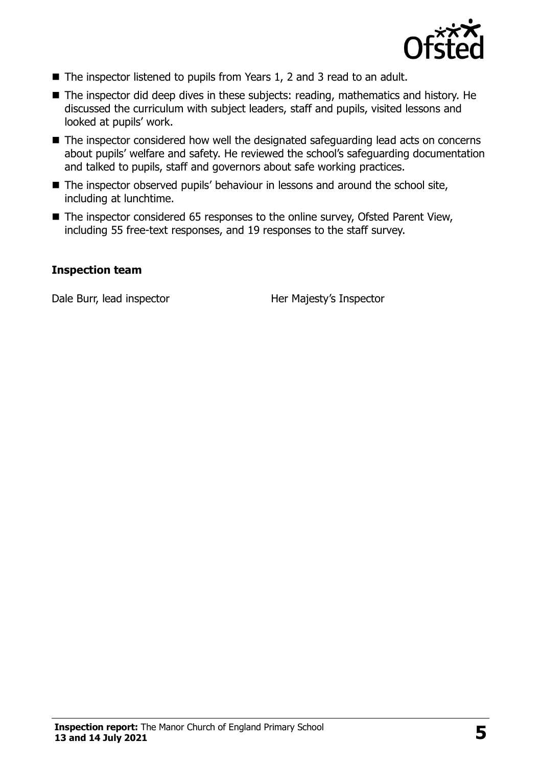

- The inspector listened to pupils from Years 1, 2 and 3 read to an adult.
- The inspector did deep dives in these subjects: reading, mathematics and history. He discussed the curriculum with subject leaders, staff and pupils, visited lessons and looked at pupils' work.
- The inspector considered how well the designated safeguarding lead acts on concerns about pupils' welfare and safety. He reviewed the school's safeguarding documentation and talked to pupils, staff and governors about safe working practices.
- The inspector observed pupils' behaviour in lessons and around the school site, including at lunchtime.
- The inspector considered 65 responses to the online survey, Ofsted Parent View, including 55 free-text responses, and 19 responses to the staff survey.

#### **Inspection team**

Dale Burr, lead inspector **Her Majesty's Inspector**